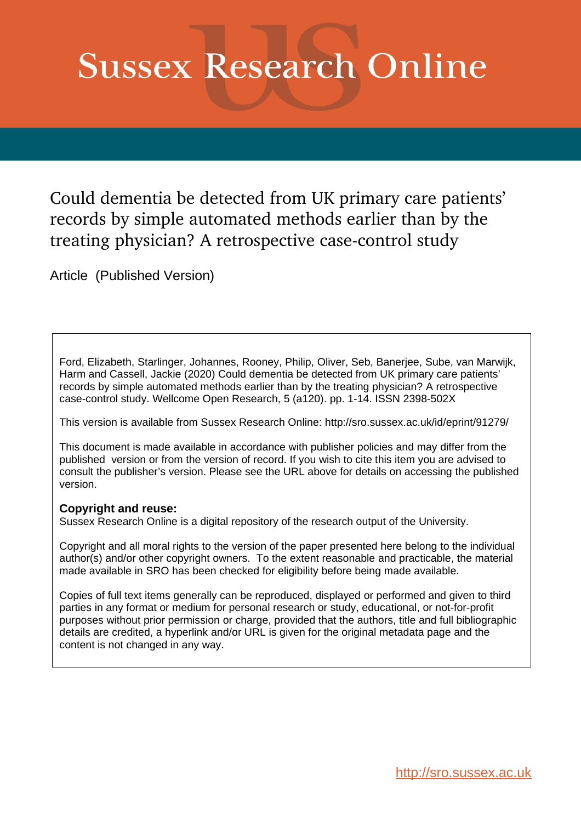# **Sussex Research Online**

Could dementia be detected from UK primary care patients' records by simple automated methods earlier than by the treating physician? A retrospective case-control study

Article (Published Version)

Ford, Elizabeth, Starlinger, Johannes, Rooney, Philip, Oliver, Seb, Banerjee, Sube, van Marwijk, Harm and Cassell, Jackie (2020) Could dementia be detected from UK primary care patients' records by simple automated methods earlier than by the treating physician? A retrospective case-control study. Wellcome Open Research, 5 (a120). pp. 1-14. ISSN 2398-502X

This version is available from Sussex Research Online: http://sro.sussex.ac.uk/id/eprint/91279/

This document is made available in accordance with publisher policies and may differ from the published version or from the version of record. If you wish to cite this item you are advised to consult the publisher's version. Please see the URL above for details on accessing the published version.

## **Copyright and reuse:**

Sussex Research Online is a digital repository of the research output of the University.

Copyright and all moral rights to the version of the paper presented here belong to the individual author(s) and/or other copyright owners. To the extent reasonable and practicable, the material made available in SRO has been checked for eligibility before being made available.

Copies of full text items generally can be reproduced, displayed or performed and given to third parties in any format or medium for personal research or study, educational, or not-for-profit purposes without prior permission or charge, provided that the authors, title and full bibliographic details are credited, a hyperlink and/or URL is given for the original metadata page and the content is not changed in any way.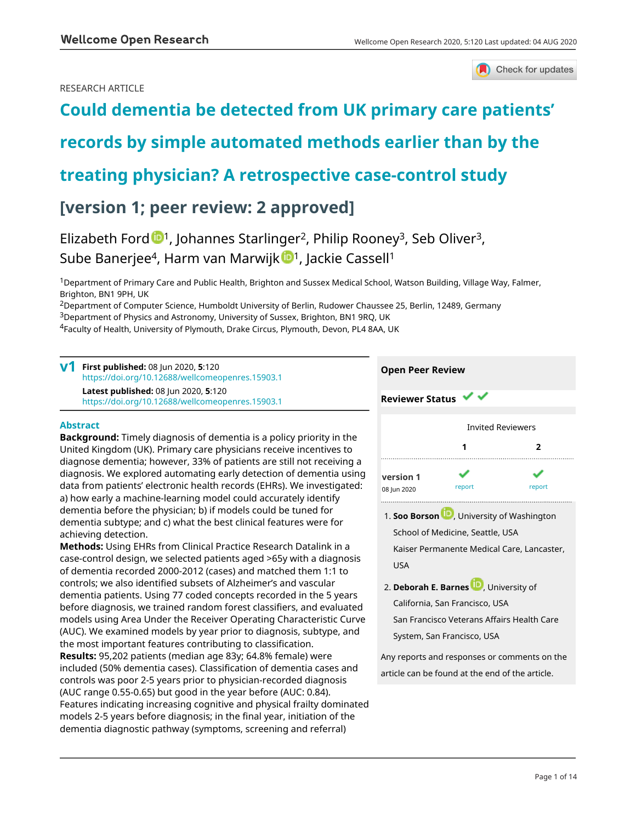## RESEARCH ARTICLE



## **[Could dementia be detected from UK primary care patients'](https://wellcomeopenresearch.org/articles/5-120/v1)**

## **[records by simple automated methods earlier than by the](https://wellcomeopenresearch.org/articles/5-120/v1)**

## **[treating physician? A retrospective case-control study](https://wellcomeopenresearch.org/articles/5-120/v1)**

## **[version 1; peer review: 2 approved]**

## Elizabeth For[d](https://orcid.org/0000-0001-5613-8509)  $\mathbb{D}^1$ , Johannes Starlinger<sup>2</sup>, Philip Rooney<sup>3</sup>, Seb Oliver<sup>3</sup>, Sube Banerjee<sup>4</sup>, Harm van Marwij[k](https://orcid.org/0000-0001-6206-485X) <sup>1</sup>, Jackie Cassell<sup>1</sup>

<sup>1</sup>Department of Primary Care and Public Health, Brighton and Sussex Medical School, Watson Building, Village Way, Falmer, Brighton, BN1 9PH, UK

<sup>2</sup>Department of Computer Science, Humboldt University of Berlin, Rudower Chaussee 25, Berlin, 12489, Germany

<sup>3</sup>Department of Physics and Astronomy, University of Sussex, Brighton, BN1 9RQ, UK

<sup>4</sup>Faculty of Health, University of Plymouth, Drake Circus, Plymouth, Devon, PL4 8AA, UK

| First published: 08 Jun 2020, 5:120<br>https://doi.org/10.12688/wellcomeopenres.15903.1                                                           | <b>Open Peer Review</b>                  |                          |        |  |
|---------------------------------------------------------------------------------------------------------------------------------------------------|------------------------------------------|--------------------------|--------|--|
| Latest published: 08 Jun 2020, 5:120<br>https://doi.org/10.12688/wellcomeopenres.15903.1                                                          | <b>Reviewer Status <math>\vee</math></b> |                          |        |  |
| <b>Abstract</b>                                                                                                                                   |                                          | <b>Invited Reviewers</b> |        |  |
| <b>Background:</b> Timely diagnosis of dementia is a policy priority in the<br>United Kingdom (UK). Primary care physicians receive incentives to |                                          |                          |        |  |
| diagnose dementia; however, 33% of patients are still not receiving a                                                                             |                                          |                          |        |  |
| diagnosis. We explored automating early detection of dementia using<br>data from patients' electronic health records (EHRs). We investigated:     | version 1<br>08 lun 2020                 | report                   | report |  |

data from patients' electronic health records (EHRs). We investigated: a) how early a machine-learning model could accurately identify dementia before the physician; b) if models could be tuned for dementia subtype; and c) what the best clinical features were for achieving detection.

**Methods:** Using EHRs from Clinical Practice Research Datalink in a case-control design, we selected patients aged >65y with a diagnosis of dementia recorded 2000-2012 (cases) and matched them 1:1 to controls; we also identified subsets of Alzheimer's and vascular dementia patients. Using 77 coded concepts recorded in the 5 years before diagnosis, we trained random forest classifiers, and evaluated models using Area Under the Receiver Operating Characteristic Curve (AUC). We examined models by year prior to diagnosis, subtype, and the most important features contributing to classification.

**Results:** 95,202 patients (median age 83y; 64.8% female) were included (50% dementia cases). Classification of dementia cases and controls was poor 2-5 years prior to physician-recorded diagnosis (AUC range 0.55-0.65) but good in the year before (AUC: 0.84). Features indicating increasing cognitive and physical frailty dominated models 2-5 years before diagnosis; in the final year, initiation of the dementia diagnostic pathway (symptoms, screening and referral)

- 1. **Soo Borso[n](https://orcid.org/0000-0003-2185-768X) U**, University of Washington School of Medicine, Seattle, USA Kaiser Permanente Medical Care, Lancaster, USA
- **2. Deborah E. Barnes U.,** University of California, San Francisco, USA San Francisco Veterans Affairs Health Care System, San Francisco, USA

Any reports and responses or comments on the article can be found at the end of the article.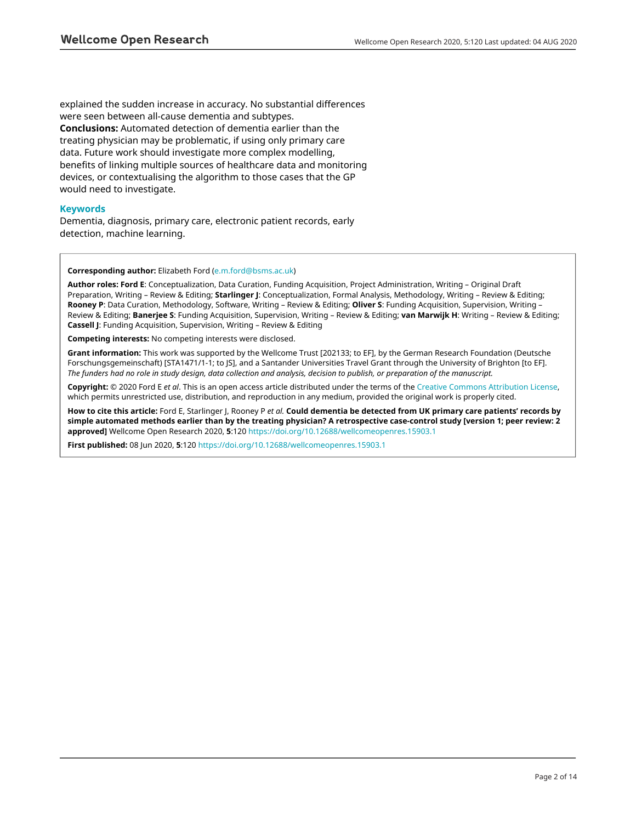explained the sudden increase in accuracy. No substantial differences were seen between all-cause dementia and subtypes. **Conclusions:** Automated detection of dementia earlier than the treating physician may be problematic, if using only primary care data. Future work should investigate more complex modelling, benefits of linking multiple sources of healthcare data and monitoring devices, or contextualising the algorithm to those cases that the GP would need to investigate.

## **Keywords**

Dementia, diagnosis, primary care, electronic patient records, early detection, machine learning.

## **Corresponding author:** Elizabeth Ford ([e.m.ford@bsms.ac.uk\)](mailto:e.m.ford@bsms.ac.uk)

**Author roles: Ford E**: Conceptualization, Data Curation, Funding Acquisition, Project Administration, Writing – Original Draft Preparation, Writing – Review & Editing; **Starlinger J**: Conceptualization, Formal Analysis, Methodology, Writing – Review & Editing; **Rooney P**: Data Curation, Methodology, Software, Writing – Review & Editing; **Oliver S**: Funding Acquisition, Supervision, Writing – Review & Editing; **Banerjee S**: Funding Acquisition, Supervision, Writing – Review & Editing; **van Marwijk H**: Writing – Review & Editing; **Cassell J**: Funding Acquisition, Supervision, Writing – Review & Editing

**Competing interests:** No competing interests were disclosed.

**Grant information:** This work was supported by the Wellcome Trust [202133; to EF], by the German Research Foundation (Deutsche Forschungsgemeinschaft) [STA1471/1-1; to JS], and a Santander Universities Travel Grant through the University of Brighton [to EF]. *The funders had no role in study design, data collection and analysis, decision to publish, or preparation of the manuscript.*

**Copyright:** © 2020 Ford E *et al*. This is an open access article distributed under the terms of the [Creative Commons Attribution License,](http://creativecommons.org/licenses/by/4.0/) which permits unrestricted use, distribution, and reproduction in any medium, provided the original work is properly cited.

**How to cite this article:** Ford E, Starlinger J, Rooney P *et al.* **Could dementia be detected from UK primary care patients' records by simple automated methods earlier than by the treating physician? A retrospective case-control study [version 1; peer review: 2 approved]** Wellcome Open Research 2020, **5**:120<https://doi.org/10.12688/wellcomeopenres.15903.1>

**First published:** 08 Jun 2020, **5**:120 <https://doi.org/10.12688/wellcomeopenres.15903.1>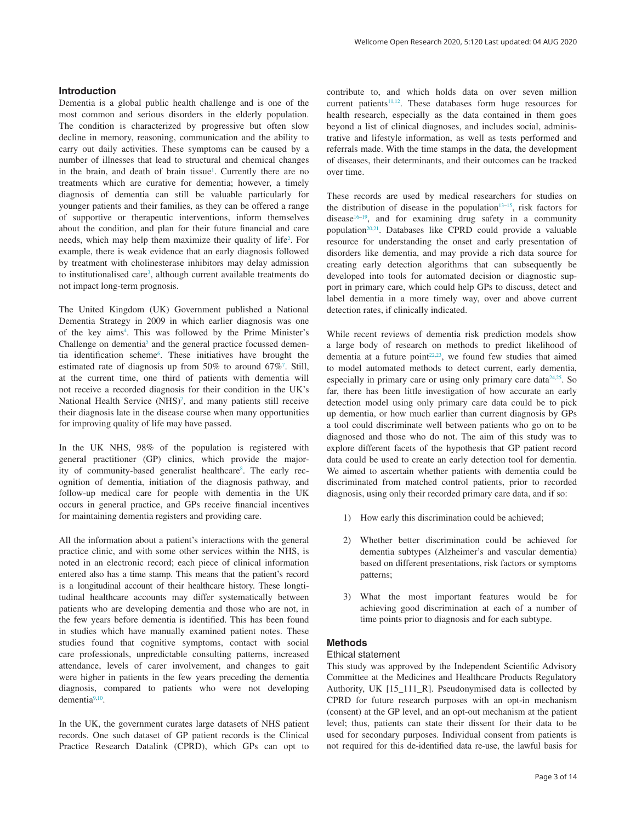Dementia is a global public health challenge and is one of the most common and serious disorders in the elderly population. The condition is characterized by progressive but often slow decline in memory, reasoning, communication and the ability to carry out daily activities. These symptoms can be caused by a number of illnesses that lead to structural and chemical changes in the brain, and death of brain tissue<sup>[1](#page-10-0)</sup>. Currently there are no treatments which are curative for dementia; however, a timely diagnosis of dementia can still be valuable particularly for younger patients and their families, as they can be offered a range of supportive or therapeutic interventions, inform themselves about the condition, and plan for their future financial and care needs, which may help them maximize their quality of life<sup>2</sup>. For example, there is weak evidence that an early diagnosis followed by treatment with cholinesterase inhibitors may delay admission to institutionalised care<sup>3</sup>, although current available treatments do not impact long-term prognosis.

The United Kingdom (UK) Government published a National Dementia Strategy in 2009 in which earlier diagnosis was one of the key aims<sup>4</sup>. This was followed by the Prime Minister's Challenge on dementia<sup>5</sup> and the general practice focussed demen-tia identification scheme<sup>[6](#page-11-0)</sup>. These initiatives have brought the estimated rate of diagnosis up from  $50\%$  to around  $67\%$  $67\%$  $67\%$ <sup>7</sup>. Still, at the current time, one third of patients with dementia will not receive a recorded diagnosis for their condition in the UK's National Health Service (NHS)<sup>[7](#page-11-0)</sup>, and many patients still receive their diagnosis late in the disease course when many opportunities for improving quality of life may have passed.

In the UK NHS, 98% of the population is registered with general practitioner (GP) clinics, which provide the majority of community-based generalist healthcare<sup>8</sup>. The early recognition of dementia, initiation of the diagnosis pathway, and follow-up medical care for people with dementia in the UK occurs in general practice, and GPs receive financial incentives for maintaining dementia registers and providing care.

All the information about a patient's interactions with the general practice clinic, and with some other services within the NHS, is noted in an electronic record; each piece of clinical information entered also has a time stamp. This means that the patient's record is a longitudinal account of their healthcare history. These longtitudinal healthcare accounts may differ systematically between patients who are developing dementia and those who are not, in the few years before dementia is identified. This has been found in studies which have manually examined patient notes. These studies found that cognitive symptoms, contact with social care professionals, unpredictable consulting patterns, increased attendance, levels of carer involvement, and changes to gait were higher in patients in the few years preceding the dementia diagnosis, compared to patients who were not developing dementia[9,10.](#page-11-0)

In the UK, the government curates large datasets of NHS patient records. One such dataset of GP patient records is the Clinical Practice Research Datalink (CPRD), which GPs can opt to

Wellcome Open Research 2020, 5:120 Last updated: 04 AUG 2020

current patients<sup>[11,12](#page-11-0)</sup>. These databases form huge resources for health research, especially as the data contained in them goes beyond a list of clinical diagnoses, and includes social, administrative and lifestyle information, as well as tests performed and referrals made. With the time stamps in the data, the development of diseases, their determinants, and their outcomes can be tracked over time.

These records are used by medical researchers for studies on the distribution of disease in the population<sup>13–15</sup>, risk factors for disease<sup>16–19</sup>, and for examining drug safety in a community population<sup>20,21</sup>. Databases like CPRD could provide a valuable resource for understanding the onset and early presentation of disorders like dementia, and may provide a rich data source for creating early detection algorithms that can subsequently be developed into tools for automated decision or diagnostic support in primary care, which could help GPs to discuss, detect and label dementia in a more timely way, over and above current detection rates, if clinically indicated.

While recent reviews of dementia risk prediction models show a large body of research on methods to predict likelihood of dementia at a future point $22,23$ , we found few studies that aimed to model automated methods to detect current, early dementia, especially in primary care or using only primary care data<sup>24,25</sup>. So far, there has been little investigation of how accurate an early detection model using only primary care data could be to pick up dementia, or how much earlier than current diagnosis by GPs a tool could discriminate well between patients who go on to be diagnosed and those who do not. The aim of this study was to explore different facets of the hypothesis that GP patient record data could be used to create an early detection tool for dementia. We aimed to ascertain whether patients with dementia could be discriminated from matched control patients, prior to recorded diagnosis, using only their recorded primary care data, and if so:

- 1) How early this discrimination could be achieved;
- 2) Whether better discrimination could be achieved for dementia subtypes (Alzheimer's and vascular dementia) based on different presentations, risk factors or symptoms patterns;
- 3) What the most important features would be for achieving good discrimination at each of a number of time points prior to diagnosis and for each subtype.

## **Methods**

#### Ethical statement

This study was approved by the Independent Scientific Advisory Committee at the Medicines and Healthcare Products Regulatory Authority, UK [15\_111\_R]. Pseudonymised data is collected by CPRD for future research purposes with an opt-in mechanism (consent) at the GP level, and an opt-out mechanism at the patient level; thus, patients can state their dissent for their data to be used for secondary purposes. Individual consent from patients is not required for this de-identified data re-use, the lawful basis for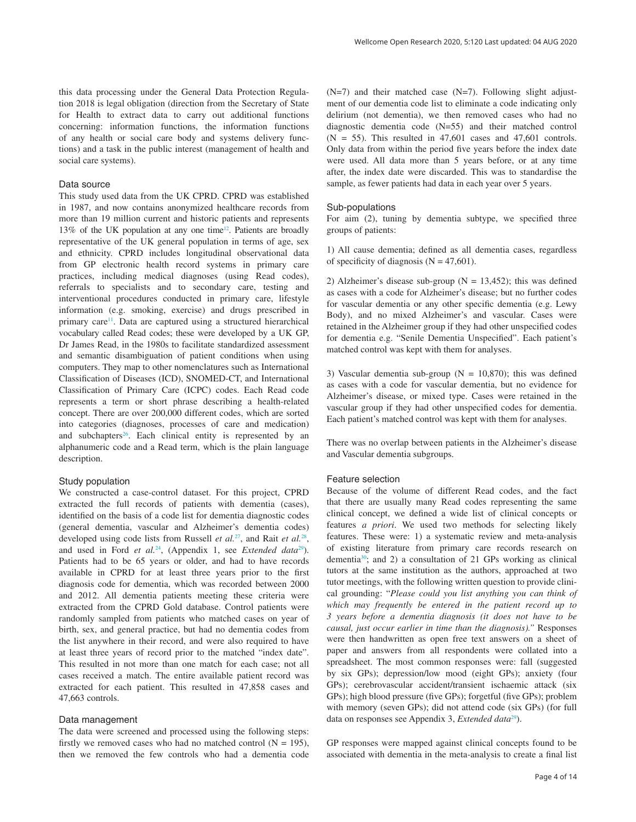this data processing under the General Data Protection Regulation 2018 is legal obligation (direction from the Secretary of State for Health to extract data to carry out additional functions concerning: information functions, the information functions of any health or social care body and systems delivery functions) and a task in the public interest (management of health and social care systems).

## Data source

This study used data from the UK CPRD. CPRD was established in 1987, and now contains anonymized healthcare records from more than 19 million current and historic patients and represents 13% of the UK population at any one time<sup>12</sup>. Patients are broadly representative of the UK general population in terms of age, sex and ethnicity. CPRD includes longitudinal observational data from GP electronic health record systems in primary care practices, including medical diagnoses (using Read codes), referrals to specialists and to secondary care, testing and interventional procedures conducted in primary care, lifestyle information (e.g. smoking, exercise) and drugs prescribed in primary care<sup>[11](#page-11-0)</sup>. Data are captured using a structured hierarchical vocabulary called Read codes; these were developed by a UK GP, Dr James Read, in the 1980s to facilitate standardized assessment and semantic disambiguation of patient conditions when using computers. They map to other nomenclatures such as International Classification of Diseases (ICD), SNOMED-CT, and International Classification of Primary Care (ICPC) codes. Each Read code represents a term or short phrase describing a health-related concept. There are over 200,000 different codes, which are sorted into categories (diagnoses, processes of care and medication) and subchapters<sup>26</sup>. Each clinical entity is represented by an alphanumeric code and a Read term, which is the plain language description.

## Study population

We constructed a case-control dataset. For this project, CPRD extracted the full records of patients with dementia (cases), identified on the basis of a code list for dementia diagnostic codes (general dementia, vascular and Alzheimer's dementia codes) developed using code lists from Russell *et al.*[27](#page-11-0), and Rait *et al.*[28](#page-11-0), and used in Ford *et al.*<sup>24</sup>, (Appendix 1, see *Extended data*<sup>[29](#page-11-0)</sup>). Patients had to be 65 years or older, and had to have records available in CPRD for at least three years prior to the first diagnosis code for dementia, which was recorded between 2000 and 2012. All dementia patients meeting these criteria were extracted from the CPRD Gold database. Control patients were randomly sampled from patients who matched cases on year of birth, sex, and general practice, but had no dementia codes from the list anywhere in their record, and were also required to have at least three years of record prior to the matched "index date". This resulted in not more than one match for each case; not all cases received a match. The entire available patient record was extracted for each patient. This resulted in 47,858 cases and 47,663 controls.

## Data management

The data were screened and processed using the following steps: firstly we removed cases who had no matched control  $(N = 195)$ , then we removed the few controls who had a dementia code

 $(N=7)$  and their matched case  $(N=7)$ . Following slight adjustment of our dementia code list to eliminate a code indicating only delirium (not dementia), we then removed cases who had no diagnostic dementia code (N=55) and their matched control  $(N = 55)$ . This resulted in 47,601 cases and 47,601 controls. Only data from within the period five years before the index date were used. All data more than 5 years before, or at any time after, the index date were discarded. This was to standardise the sample, as fewer patients had data in each year over 5 years.

#### Sub-populations

For aim (2), tuning by dementia subtype, we specified three groups of patients:

1) All cause dementia; defined as all dementia cases, regardless of specificity of diagnosis ( $N = 47,601$ ).

2) Alzheimer's disease sub-group ( $N = 13,452$ ); this was defined as cases with a code for Alzheimer's disease; but no further codes for vascular dementia or any other specific dementia (e.g. Lewy Body), and no mixed Alzheimer's and vascular. Cases were retained in the Alzheimer group if they had other unspecified codes for dementia e.g. "Senile Dementia Unspecified". Each patient's matched control was kept with them for analyses.

3) Vascular dementia sub-group ( $N = 10,870$ ); this was defined as cases with a code for vascular dementia, but no evidence for Alzheimer's disease, or mixed type. Cases were retained in the vascular group if they had other unspecified codes for dementia. Each patient's matched control was kept with them for analyses.

There was no overlap between patients in the Alzheimer's disease and Vascular dementia subgroups.

#### Feature selection

Because of the volume of different Read codes, and the fact that there are usually many Read codes representing the same clinical concept, we defined a wide list of clinical concepts or features *a priori*. We used two methods for selecting likely features. These were: 1) a systematic review and meta-analysis of existing literature from primary care records research on dementia[30;](#page-11-0) and 2) a consultation of 21 GPs working as clinical tutors at the same institution as the authors, approached at two tutor meetings, with the following written question to provide clinical grounding: "*Please could you list anything you can think of which may frequently be entered in the patient record up to 3 years before a dementia diagnosis (it does not have to be causal, just occur earlier in time than the diagnosis)."* Responses were then handwritten as open free text answers on a sheet of paper and answers from all respondents were collated into a spreadsheet. The most common responses were: fall (suggested by six GPs); depression/low mood (eight GPs); anxiety (four GPs); cerebrovascular accident/transient ischaemic attack (six GPs); high blood pressure (five GPs); forgetful (five GPs); problem with memory (seven GPs); did not attend code (six GPs) (for full data on responses see Appendix 3, *Extended data*<sup>[29](#page-11-0)</sup>).

GP responses were mapped against clinical concepts found to be associated with dementia in the meta-analysis to create a final list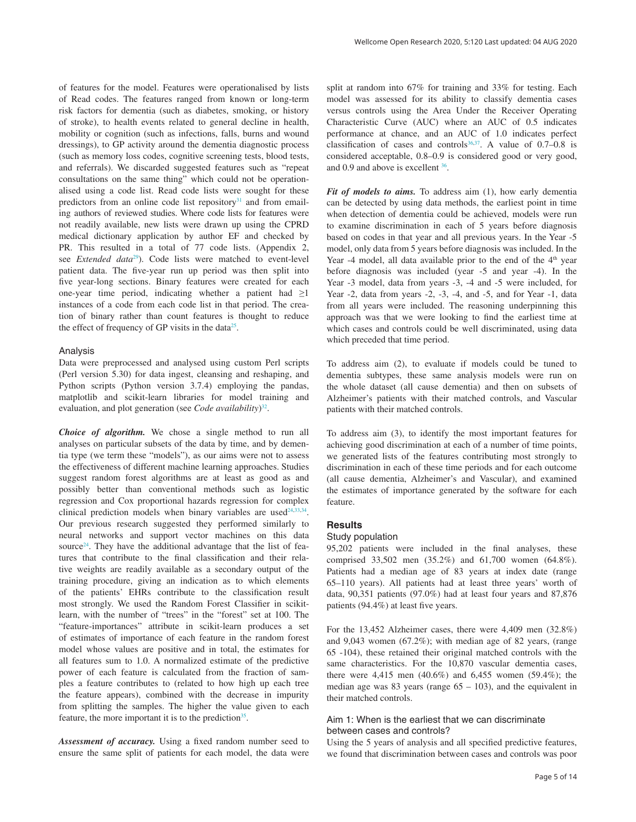of features for the model. Features were operationalised by lists of Read codes. The features ranged from known or long-term risk factors for dementia (such as diabetes, smoking, or history of stroke), to health events related to general decline in health, mobility or cognition (such as infections, falls, burns and wound dressings), to GP activity around the dementia diagnostic process (such as memory loss codes, cognitive screening tests, blood tests, and referrals). We discarded suggested features such as "repeat consultations on the same thing" which could not be operationalised using a code list. Read code lists were sought for these predictors from an online code list repository $31$  and from emailing authors of reviewed studies. Where code lists for features were not readily available, new lists were drawn up using the CPRD medical dictionary application by author EF and checked by PR. This resulted in a total of 77 code lists. (Appendix 2, see *Extended data*[29](#page-11-0)). Code lists were matched to event-level patient data. The five-year run up period was then split into five year-long sections. Binary features were created for each one-year time period, indicating whether a patient had  $\geq 1$ instances of a code from each code list in that period. The creation of binary rather than count features is thought to reduce the effect of frequency of GP visits in the data $25$ .

### Analysis

Data were preprocessed and analysed using custom Perl scripts (Perl version 5.30) for data ingest, cleansing and reshaping, and Python scripts (Python version 3.7.4) employing the pandas, matplotlib and scikit-learn libraries for model training and evaluation, and plot generation (see *Code availability*) [32](#page-11-0).

*Choice of algorithm.* We chose a single method to run all analyses on particular subsets of the data by time, and by dementia type (we term these "models"), as our aims were not to assess the effectiveness of different machine learning approaches. Studies suggest random forest algorithms are at least as good as and possibly better than conventional methods such as logistic regression and Cox proportional hazards regression for complex clinical prediction models when binary variables are used<sup> $24,33,34$  $24,33,34$ </sup>. Our previous research suggested they performed similarly to neural networks and support vector machines on this data source<sup>24</sup>. They have the additional advantage that the list of features that contribute to the final classification and their relative weights are readily available as a secondary output of the training procedure, giving an indication as to which elements of the patients' EHRs contribute to the classification result most strongly. We used the Random Forest Classifier in scikitlearn, with the number of "trees" in the "forest" set at 100. The "feature-importances" attribute in scikit-learn produces a set of estimates of importance of each feature in the random forest model whose values are positive and in total, the estimates for all features sum to 1.0. A normalized estimate of the predictive power of each feature is calculated from the fraction of samples a feature contributes to (related to how high up each tree the feature appears), combined with the decrease in impurity from splitting the samples. The higher the value given to each feature, the more important it is to the prediction<sup>[35](#page-11-0)</sup>.

*Assessment of accuracy.* Using a fixed random number seed to ensure the same split of patients for each model, the data were

split at random into 67% for training and 33% for testing. Each model was assessed for its ability to classify dementia cases versus controls using the Area Under the Receiver Operating Characteristic Curve (AUC) where an AUC of 0.5 indicates performance at chance, and an AUC of 1.0 indicates perfect classification of cases and controls<sup>36,37</sup>. A value of  $0.7-0.8$  is considered acceptable, 0.8–0.9 is considered good or very good, and 0.9 and above is excellent [36](#page-11-0).

*Fit of models to aims.* To address aim (1), how early dementia can be detected by using data methods, the earliest point in time when detection of dementia could be achieved, models were run to examine discrimination in each of 5 years before diagnosis based on codes in that year and all previous years. In the Year -5 model, only data from 5 years before diagnosis was included. In the Year  $-4$  model, all data available prior to the end of the  $4<sup>th</sup>$  year before diagnosis was included (year -5 and year -4). In the Year -3 model, data from years -3, -4 and -5 were included, for Year -2, data from years -2, -3, -4, and -5, and for Year -1, data from all years were included. The reasoning underpinning this approach was that we were looking to find the earliest time at which cases and controls could be well discriminated, using data which preceded that time period.

To address aim (2), to evaluate if models could be tuned to dementia subtypes, these same analysis models were run on the whole dataset (all cause dementia) and then on subsets of Alzheimer's patients with their matched controls, and Vascular patients with their matched controls.

To address aim (3), to identify the most important features for achieving good discrimination at each of a number of time points, we generated lists of the features contributing most strongly to discrimination in each of these time periods and for each outcome (all cause dementia, Alzheimer's and Vascular), and examined the estimates of importance generated by the software for each feature.

### **Results**

## Study population

95,202 patients were included in the final analyses, these comprised 33,502 men (35.2%) and 61,700 women (64.8%). Patients had a median age of 83 years at index date (range 65–110 years). All patients had at least three years' worth of data, 90,351 patients (97.0%) had at least four years and 87,876 patients (94.4%) at least five years.

For the 13,452 Alzheimer cases, there were 4,409 men (32.8%) and 9,043 women (67.2%); with median age of 82 years, (range 65 -104), these retained their original matched controls with the same characteristics. For the 10,870 vascular dementia cases, there were 4,415 men (40.6%) and 6,455 women (59.4%); the median age was 83 years (range  $65 - 103$ ), and the equivalent in their matched controls.

## Aim 1: When is the earliest that we can discriminate between cases and controls?

Using the 5 years of analysis and all specified predictive features, we found that discrimination between cases and controls was poor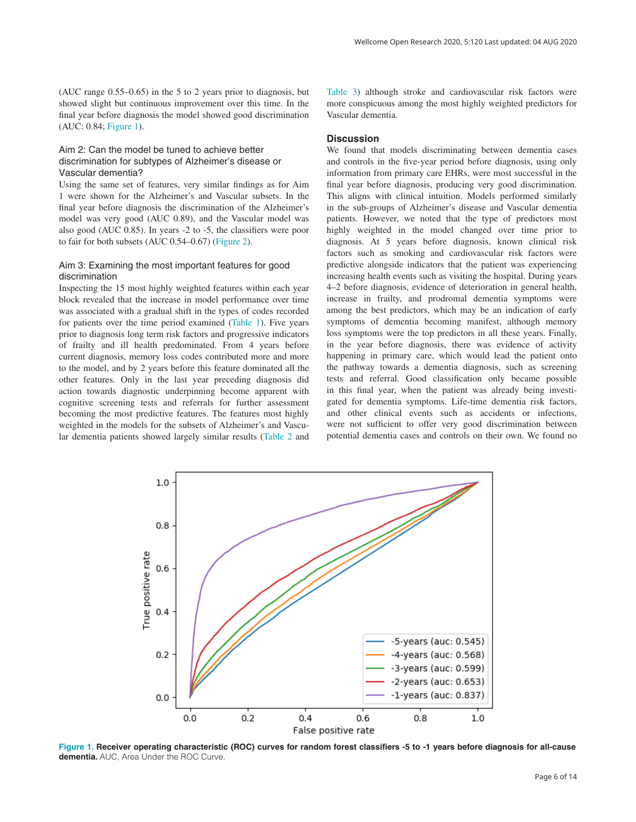(AUC range 0.55–0.65) in the 5 to 2 years prior to diagnosis, but showed slight but continuous improvement over this time. In the final year before diagnosis the model showed good discrimination (AUC: 0.84; Figure 1).

## Aim 2: Can the model be tuned to achieve better discrimination for subtypes of Alzheimer's disease or Vascular dementia?

Using the same set of features, very similar findings as for Aim 1 were shown for the Alzheimer's and Vascular subsets. In the final year before diagnosis the discrimination of the Alzheimer's model was very good (AUC 0.89), and the Vascular model was also good (AUC 0.85). In years -2 to -5, the classifiers were poor to fair for both subsets (AUC 0.54–0.67) ([Figure 2](#page-7-0)).

## Aim 3: Examining the most important features for good discrimination

Inspecting the 15 most highly weighted features within each year block revealed that the increase in model performance over time was associated with a gradual shift in the types of codes recorded for patients over the time period examined [\(Table 1\)](#page-7-0). Five years prior to diagnosis long term risk factors and progressive indicators of frailty and ill health predominated. From 4 years before current diagnosis, memory loss codes contributed more and more to the model, and by 2 years before this feature dominated all the other features. Only in the last year preceding diagnosis did action towards diagnostic underpinning become apparent with cognitive screening tests and referrals for further assessment becoming the most predictive features. The features most highly weighted in the models for the subsets of Alzheimer's and Vascular dementia patients showed largely similar results ([Table 2](#page-8-0) and

[Table 3\)](#page-9-0) although stroke and cardiovascular risk factors were more conspicuous among the most highly weighted predictors for Vascular dementia.

## **Discussion**

We found that models discriminating between dementia cases and controls in the five-year period before diagnosis, using only information from primary care EHRs, were most successful in the final year before diagnosis, producing very good discrimination. This aligns with clinical intuition. Models performed similarly in the sub-groups of Alzheimer's disease and Vascular dementia patients. However, we noted that the type of predictors most highly weighted in the model changed over time prior to diagnosis. At 5 years before diagnosis, known clinical risk factors such as smoking and cardiovascular risk factors were predictive alongside indicators that the patient was experiencing increasing health events such as visiting the hospital. During years 4–2 before diagnosis, evidence of deterioration in general health, increase in frailty, and prodromal dementia symptoms were among the best predictors, which may be an indication of early symptoms of dementia becoming manifest, although memory loss symptoms were the top predictors in all these years. Finally, in the year before diagnosis, there was evidence of activity happening in primary care, which would lead the patient onto the pathway towards a dementia diagnosis, such as screening tests and referral. Good classification only became possible in this final year, when the patient was already being investigated for dementia symptoms. Life-time dementia risk factors, and other clinical events such as accidents or infections, were not sufficient to offer very good discrimination between potential dementia cases and controls on their own. We found no



**Figure 1. Receiver operating characteristic (ROC) curves for random forest classifiers -5 to -1 years before diagnosis for all-cause dementia.** AUC, Area Under the ROC Curve.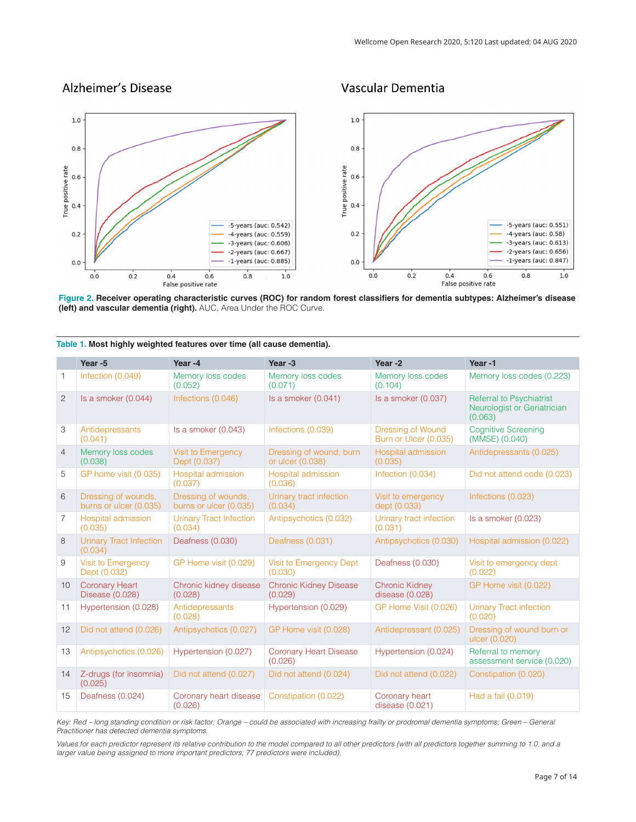## <span id="page-7-0"></span>Alzheimer's Disease

## Vascular Dementia



**Figure 2. Receiver operating characteristic curves (ROC) for random forest classifiers for dementia subtypes: Alzheimer's disease (left) and vascular dementia (right).** AUC, Area Under the ROC Curve.

|                | Year -5                                       | Year-4                                        | Year -3                                     | Year-2                                            | Year-1                                                                    |
|----------------|-----------------------------------------------|-----------------------------------------------|---------------------------------------------|---------------------------------------------------|---------------------------------------------------------------------------|
| $\mathbf{1}$   | Infection (0.049)                             | Memory loss codes<br>(0.052)                  | Memory loss codes<br>(0.071)                | Memory loss codes<br>(0.104)                      | Memory loss codes (0.223)                                                 |
| 2              | Is a smoker (0.044)                           | Infections (0.046)                            | Is a smoker $(0.041)$                       | Is a smoker (0.037)                               | <b>Referral to Psychiatrist</b><br>Neurologist or Geriatrician<br>(0.063) |
| 3              | Antidepressants<br>(0.041)                    | Is a smoker (0.043)                           | Infections (0.039)                          | <b>Dressing of Wound</b><br>Burn or Ulcer (0.035) | <b>Cognitive Screening</b><br>(MMSE) (0.040)                              |
| $\overline{4}$ | Memory loss codes<br>(0.038)                  | <b>Visit to Emergency</b><br>Dept (0.037)     | Dressing of wound, burn<br>or ulcer (0.038) | Hospital admission<br>(0.035)                     | Antidepressants (0.025)                                                   |
| 5              | GP home visit (0.035)                         | Hospital admission<br>(0.037)                 | Hospital admission<br>(0.036)               | Infection (0.034)                                 | Did not attend code (0.023)                                               |
| 6              | Dressing of wounds,<br>burns or ulcer (0.035) | Dressing of wounds,<br>burns or ulcer (0.035) | Urinary tract infection<br>(0.034)          | Visit to emergency<br>dept (0.033)                | Infections (0.023)                                                        |
| 7              | Hospital admission<br>(0.035)                 | <b>Urinary Tract Infection</b><br>(0.034)     | Antipsychotics (0.032)                      | Urinary tract infection<br>(0.031)                | Is a smoker $(0.023)$                                                     |
| 8              | <b>Urinary Tract Infection</b><br>(0.034)     | Deafness (0.030)                              | Deafness (0.031)                            | Antipsychotics (0.030)                            | Hospital admission (0.022)                                                |
| 9              | Visit to Emergency<br>Dept (0.032)            | GP Home visit (0.029)                         | Visit to Emergency Dept<br>(0.030)          | Deafness (0.030)                                  | Visit to emergency dept<br>(0.022)                                        |
| 10             | <b>Coronary Heart</b><br>Disease (0.028)      | Chronic kidney disease<br>(0.028)             | <b>Chronic Kidney Disease</b><br>(0.029)    | <b>Chronic Kidney</b><br>disease (0.028)          | GP Home visit (0.022)                                                     |
| 11             | Hypertension (0.028)                          | Antidepressants<br>(0.028)                    | Hypertension (0.029)                        | GP Home Visit (0.026)                             | <b>Urinary Tract infection</b><br>(0.020)                                 |
| 12             | Did not attend (0.026)                        | Antipsychotics (0.027)                        | GP Home visit (0.028)                       | Antidepressant (0.025)                            | Dressing of wound burn or<br>ulcer (0.020)                                |
| 13             | Antipsychotics (0.026)                        | Hypertension (0.027)                          | <b>Coronary Heart Disease</b><br>(0.026)    | Hypertension (0.024)                              | Referral to memory<br>assessment service (0.020)                          |
| 14             | Z-drugs (for insomnia)<br>(0.025)             | Did not attend (0.027)                        | Did not attend (0.024)                      | Did not attend (0.022)                            | Constipation (0.020)                                                      |
| 15             | Deafness (0.024)                              | Coronary heart disease<br>(0.026)             | Constipation (0.022)                        | Coronary heart<br>disease $(0.021)$               | Had a fall (0.019)                                                        |

**Table 1. Most highly weighted features over time (all cause dementia).**

*Key: Red – long standing condition or risk factor; Orange – could be associated with increasing frailty or prodromal dementia symptoms; Green – General Practitioner has detected dementia symptoms.*

Values for each predictor represent its relative contribution to the model compared to all other predictors (with all predictors together summing to 1.0, and a *larger value being assigned to more important predictors; 77 predictors were included)*.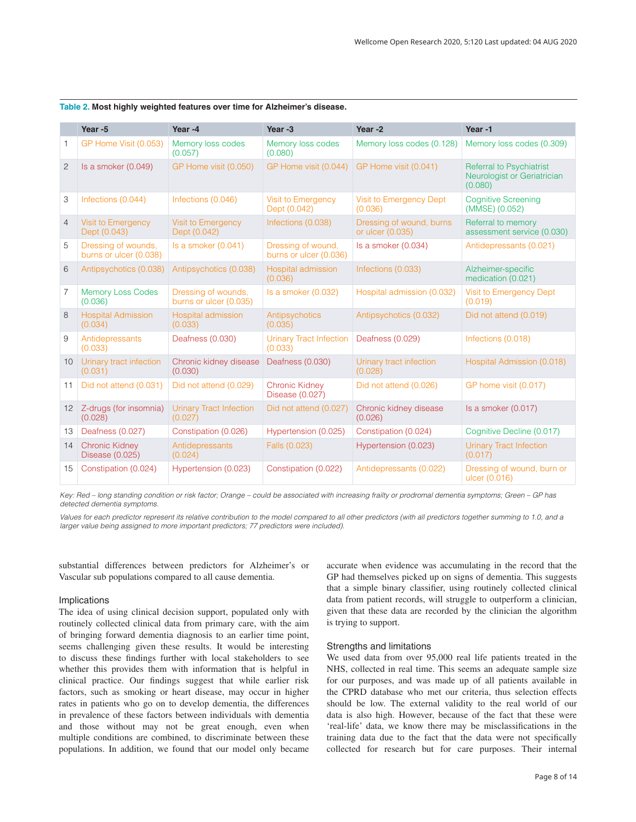|                   | Year -5                                       | Year-4                                        | Year -3                                      | Year-2                                       | Year-1                                                                    |
|-------------------|-----------------------------------------------|-----------------------------------------------|----------------------------------------------|----------------------------------------------|---------------------------------------------------------------------------|
| 1                 | GP Home Visit (0.053)                         | Memory loss codes<br>(0.057)                  | Memory loss codes<br>(0.080)                 | Memory loss codes (0.128)                    | Memory loss codes (0.309)                                                 |
| 2                 | Is a smoker (0.049)                           | GP Home visit (0.050)                         | GP Home visit (0.044)                        | GP Home visit (0.041)                        | <b>Referral to Psychiatrist</b><br>Neurologist or Geriatrician<br>(0.080) |
| 3                 | Infections (0.044)                            | Infections (0.046)                            | <b>Visit to Emergency</b><br>Dept (0.042)    | Visit to Emergency Dept<br>(0.036)           | <b>Cognitive Screening</b><br>(MMSE) (0.052)                              |
| $\overline{4}$    | Visit to Emergency<br>Dept (0.043)            | <b>Visit to Emergency</b><br>Dept (0.042)     | Infections (0.038)                           | Dressing of wound, burns<br>or ulcer (0.035) | Referral to memory<br>assessment service (0.030)                          |
| 5                 | Dressing of wounds,<br>burns or ulcer (0.038) | Is a smoker (0.041)                           | Dressing of wound,<br>burns or ulcer (0.036) | Is a smoker (0.034)                          | Antidepressants (0.021)                                                   |
| 6                 | Antipsychotics (0.038)                        | Antipsychotics (0.038)                        | Hospital admission<br>(0.036)                | Infections (0.033)                           | Alzheimer-specific<br>medication (0.021)                                  |
| 7                 | <b>Memory Loss Codes</b><br>(0.036)           | Dressing of wounds,<br>burns or ulcer (0.035) | Is a smoker (0.032)                          | Hospital admission (0.032)                   | Visit to Emergency Dept<br>(0.019)                                        |
| 8                 | <b>Hospital Admission</b><br>(0.034)          | Hospital admission<br>(0.033)                 | Antipsychotics<br>(0.035)                    | Antipsychotics (0.032)                       | Did not attend (0.019)                                                    |
| 9                 | Antidepressants<br>(0.033)                    | Deafness (0.030)                              | <b>Urinary Tract Infection</b><br>(0.033)    | Deafness (0.029)                             | Infections (0.018)                                                        |
| 10                | Urinary tract infection<br>(0.031)            | Chronic kidney disease<br>(0.030)             | Deafness (0.030)                             | Urinary tract infection<br>(0.028)           | Hospital Admission (0.018)                                                |
| 11                | Did not attend (0.031)                        | Did not attend (0.029)                        | <b>Chronic Kidney</b><br>Disease (0.027)     | Did not attend (0.026)                       | GP home visit (0.017)                                                     |
| $12 \overline{ }$ | Z-drugs (for insomnia)<br>(0.028)             | <b>Urinary Tract Infection</b><br>(0.027)     | Did not attend (0.027)                       | Chronic kidney disease<br>(0.026)            | Is a smoker (0.017)                                                       |
| 13                | Deafness (0.027)                              | Constipation (0.026)                          | Hypertension (0.025)                         | Constipation (0.024)                         | Cognitive Decline (0.017)                                                 |
| 14                | <b>Chronic Kidney</b><br>Disease (0.025)      | Antidepressants<br>(0.024)                    | Falls (0.023)                                | Hypertension (0.023)                         | <b>Urinary Tract Infection</b><br>(0.017)                                 |
| 15                | Constipation (0.024)                          | Hypertension (0.023)                          | Constipation (0.022)                         | Antidepressants (0.022)                      | Dressing of wound, burn or<br>ulcer (0.016)                               |

<span id="page-8-0"></span>

| Table 2. Most highly weighted features over time for Alzheimer's disease. |  |  |  |
|---------------------------------------------------------------------------|--|--|--|
|                                                                           |  |  |  |

*Key: Red – long standing condition or risk factor; Orange – could be associated with increasing frailty or prodromal dementia symptoms; Green – GP has detected dementia symptoms.*

Values for each predictor represent its relative contribution to the model compared to all other predictors (with all predictors together summing to 1.0, and a *larger value being assigned to more important predictors; 77 predictors were included).*

substantial differences between predictors for Alzheimer's or Vascular sub populations compared to all cause dementia.

## Implications

The idea of using clinical decision support, populated only with routinely collected clinical data from primary care, with the aim of bringing forward dementia diagnosis to an earlier time point, seems challenging given these results. It would be interesting to discuss these findings further with local stakeholders to see whether this provides them with information that is helpful in clinical practice. Our findings suggest that while earlier risk factors, such as smoking or heart disease, may occur in higher rates in patients who go on to develop dementia, the differences in prevalence of these factors between individuals with dementia and those without may not be great enough, even when multiple conditions are combined, to discriminate between these populations. In addition, we found that our model only became

accurate when evidence was accumulating in the record that the GP had themselves picked up on signs of dementia. This suggests that a simple binary classifier, using routinely collected clinical data from patient records, will struggle to outperform a clinician, given that these data are recorded by the clinician the algorithm is trying to support.

### Strengths and limitations

We used data from over 95,000 real life patients treated in the NHS, collected in real time. This seems an adequate sample size for our purposes, and was made up of all patients available in the CPRD database who met our criteria, thus selection effects should be low. The external validity to the real world of our data is also high. However, because of the fact that these were 'real-life' data, we know there may be misclassifications in the training data due to the fact that the data were not specifically collected for research but for care purposes. Their internal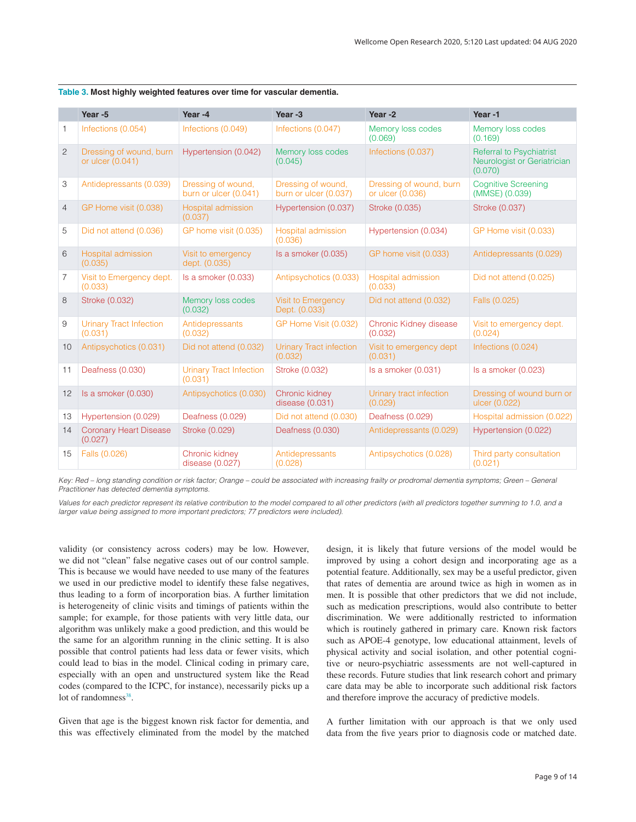|                           | Year -5                                     | Year -4                                     | Year-3                                      | Year-2                                      | Year-1                                                                    |
|---------------------------|---------------------------------------------|---------------------------------------------|---------------------------------------------|---------------------------------------------|---------------------------------------------------------------------------|
| 1                         | Infections (0.054)                          | Infections (0.049)                          | Infections (0.047)                          | Memory loss codes<br>(0.069)                | Memory loss codes<br>(0.169)                                              |
| $\overline{c}$            | Dressing of wound, burn<br>or ulcer (0.041) | Hypertension (0.042)                        | Memory loss codes<br>(0.045)                | Infections (0.037)                          | <b>Referral to Psychiatrist</b><br>Neurologist or Geriatrician<br>(0.070) |
| $\ensuremath{\mathsf{3}}$ | Antidepressants (0.039)                     | Dressing of wound,<br>burn or ulcer (0.041) | Dressing of wound,<br>burn or ulcer (0.037) | Dressing of wound, burn<br>or ulcer (0.036) | <b>Cognitive Screening</b><br>(MMSE) (0.039)                              |
| $\overline{4}$            | GP Home visit (0.038)                       | Hospital admission<br>(0.037)               | Hypertension (0.037)                        | Stroke (0.035)                              | Stroke (0.037)                                                            |
| 5                         | Did not attend (0.036)                      | GP home visit (0.035)                       | Hospital admission<br>(0.036)               | Hypertension (0.034)                        | GP Home visit (0.033)                                                     |
| 6                         | <b>Hospital admission</b><br>(0.035)        | Visit to emergency<br>dept. (0.035)         | Is a smoker (0.035)                         | GP home visit (0.033)                       | Antidepressants (0.029)                                                   |
| 7                         | Visit to Emergency dept.<br>(0.033)         | Is a smoker (0.033)                         | Antipsychotics (0.033)                      | Hospital admission<br>(0.033)               | Did not attend (0.025)                                                    |
| 8                         | Stroke (0.032)                              | Memory loss codes<br>(0.032)                | <b>Visit to Emergency</b><br>Dept. (0.033)  | Did not attend (0.032)                      | Falls (0.025)                                                             |
| 9                         | <b>Urinary Tract Infection</b><br>(0.031)   | Antidepressants<br>(0.032)                  | GP Home Visit (0.032)                       | Chronic Kidney disease<br>(0.032)           | Visit to emergency dept.<br>(0.024)                                       |
| 10                        | Antipsychotics (0.031)                      | Did not attend (0.032)                      | <b>Urinary Tract infection</b><br>(0.032)   | Visit to emergency dept<br>(0.031)          | Infections (0.024)                                                        |
| 11                        | Deafness (0.030)                            | <b>Urinary Tract Infection</b><br>(0.031)   | Stroke (0.032)                              | Is a smoker (0.031)                         | Is a smoker (0.023)                                                       |
| 12                        | Is a smoker (0.030)                         | Antipsychotics (0.030)                      | Chronic kidney<br>disease $(0.031)$         | Urinary tract infection<br>(0.029)          | Dressing of wound burn or<br>ulcer (0.022)                                |
| 13                        | Hypertension (0.029)                        | Deafness (0.029)                            | Did not attend (0.030)                      | Deafness (0.029)                            | Hospital admission (0.022)                                                |
| 14                        | <b>Coronary Heart Disease</b><br>(0.027)    | Stroke (0.029)                              | Deafness (0.030)                            | Antidepressants (0.029)                     | Hypertension (0.022)                                                      |
| 15                        | Falls (0.026)                               | Chronic kidney<br>disease $(0.027)$         | Antidepressants<br>(0.028)                  | Antipsychotics (0.028)                      | Third party consultation<br>(0.021)                                       |

<span id="page-9-0"></span>**Table 3. Most highly weighted features over time for vascular dementia.**

*Key: Red – long standing condition or risk factor; Orange – could be associated with increasing frailty or prodromal dementia symptoms; Green – General Practitioner has detected dementia symptoms.*

Values for each predictor represent its relative contribution to the model compared to all other predictors (with all predictors together summing to 1.0, and a *larger value being assigned to more important predictors; 77 predictors were included).*

validity (or consistency across coders) may be low. However, we did not "clean" false negative cases out of our control sample. This is because we would have needed to use many of the features we used in our predictive model to identify these false negatives, thus leading to a form of incorporation bias. A further limitation is heterogeneity of clinic visits and timings of patients within the sample; for example, for those patients with very little data, our algorithm was unlikely make a good prediction, and this would be the same for an algorithm running in the clinic setting. It is also possible that control patients had less data or fewer visits, which could lead to bias in the model. Clinical coding in primary care, especially with an open and unstructured system like the Read codes (compared to the ICPC, for instance), necessarily picks up a lot of randomness<sup>38</sup>.

Given that age is the biggest known risk factor for dementia, and this was effectively eliminated from the model by the matched

design, it is likely that future versions of the model would be improved by using a cohort design and incorporating age as a potential feature. Additionally, sex may be a useful predictor, given that rates of dementia are around twice as high in women as in men. It is possible that other predictors that we did not include, such as medication prescriptions, would also contribute to better discrimination. We were additionally restricted to information which is routinely gathered in primary care. Known risk factors such as APOE-4 genotype, low educational attainment, levels of physical activity and social isolation, and other potential cognitive or neuro-psychiatric assessments are not well-captured in these records. Future studies that link research cohort and primary care data may be able to incorporate such additional risk factors and therefore improve the accuracy of predictive models.

A further limitation with our approach is that we only used data from the five years prior to diagnosis code or matched date.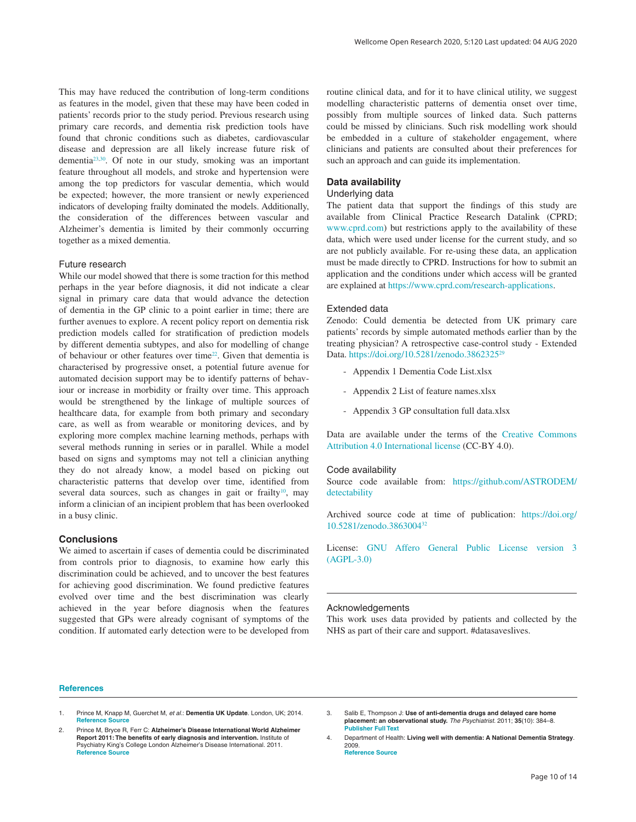<span id="page-10-0"></span>This may have reduced the contribution of long-term conditions as features in the model, given that these may have been coded in patients' records prior to the study period. Previous research using primary care records, and dementia risk prediction tools have found that chronic conditions such as diabetes, cardiovascular disease and depression are all likely increase future risk of dementia[23,30](#page-11-0). Of note in our study, smoking was an important feature throughout all models, and stroke and hypertension were among the top predictors for vascular dementia, which would be expected; however, the more transient or newly experienced indicators of developing frailty dominated the models. Additionally, the consideration of the differences between vascular and Alzheimer's dementia is limited by their commonly occurring together as a mixed dementia.

### Future research

While our model showed that there is some traction for this method perhaps in the year before diagnosis, it did not indicate a clear signal in primary care data that would advance the detection of dementia in the GP clinic to a point earlier in time; there are further avenues to explore. A recent policy report on dementia risk prediction models called for stratification of prediction models by different dementia subtypes, and also for modelling of change of behaviour or other features over tim[e22](#page-11-0). Given that dementia is characterised by progressive onset, a potential future avenue for automated decision support may be to identify patterns of behaviour or increase in morbidity or frailty over time. This approach would be strengthened by the linkage of multiple sources of healthcare data, for example from both primary and secondary care, as well as from wearable or monitoring devices, and by exploring more complex machine learning methods, perhaps with several methods running in series or in parallel. While a model based on signs and symptoms may not tell a clinician anything they do not already know, a model based on picking out characteristic patterns that develop over time, identified from several data sources, such as changes in gait or frailty<sup>10</sup>, may inform a clinician of an incipient problem that has been overlooked in a busy clinic.

## **Conclusions**

We aimed to ascertain if cases of dementia could be discriminated from controls prior to diagnosis, to examine how early this discrimination could be achieved, and to uncover the best features for achieving good discrimination. We found predictive features evolved over time and the best discrimination was clearly achieved in the year before diagnosis when the features suggested that GPs were already cognisant of symptoms of the condition. If automated early detection were to be developed from

routine clinical data, and for it to have clinical utility, we suggest modelling characteristic patterns of dementia onset over time, possibly from multiple sources of linked data. Such patterns could be missed by clinicians. Such risk modelling work should be embedded in a culture of stakeholder engagement, where clinicians and patients are consulted about their preferences for such an approach and can guide its implementation.

## **Data availability**

## Underlying data

The patient data that support the findings of this study are available from Clinical Practice Research Datalink (CPRD; [www.cprd.com\)](http://www.cprd.com/) but restrictions apply to the availability of these data, which were used under license for the current study, and so are not publicly available. For re-using these data, an application must be made directly to CPRD. Instructions for how to submit an application and the conditions under which access will be granted are explained at [https://www.cprd.com/research-applications.](https://www.cprd.com/research-applications)

### Extended data

Zenodo: Could dementia be detected from UK primary care patients' records by simple automated methods earlier than by the treating physician? A retrospective case-control study - Extended Data. [https://doi.org/10.5281/zenodo.3862325](http://dx.doi.org/10.5281/zenodo.3862325)[29](#page-11-0)

- Appendix 1 Dementia Code List.xlsx
- Appendix 2 List of feature names.xlsx
- Appendix 3 GP consultation full data.xlsx

Data are available under the terms of the [Creative Commons](https://creativecommons.org/licenses/by/4.0/legalcode)  [Attribution 4.0 International license](https://creativecommons.org/licenses/by/4.0/legalcode) (CC-BY 4.0).

#### Code availability

Source code available from: [https://github.com/ASTRODEM/](https://github.com/ASTRODEM/detectability) [detectability](https://github.com/ASTRODEM/detectability)

Archived source code at time of publication: [https://doi.org/](https://doi.org/10.5281/zenodo.3863004) [10.5281/zenodo.3863004](https://doi.org/10.5281/zenodo.3863004)[32](#page-11-0)

License: [GNU Affero General Public License version 3](https://opensource.org/licenses/AGPL-3.0)  [\(AGPL-3.0\)](https://opensource.org/licenses/AGPL-3.0)

#### Acknowledgements

This work uses data provided by patients and collected by the NHS as part of their care and support. #datasaveslives.

#### **References**

- 1. Prince M, Knapp M, Guerchet M, *et al.*: **Dementia UK Update**. London, UK; 2014. **[Reference Source](https://www.alzheimers.org.uk/sites/default/files/migrate/downloads/dementia_uk_update.pdf)**
- 2. Prince M, Bryce R, Ferr C: **Alzheimer's Disease International World Alzheimer Report 2011: The benefits of early diagnosis and intervention.** Institute of Psychiatry King's College London Alzheimer's Disease International*.* 2011. **[Reference Source](https://www.alz.co.uk/research/world-report-2011)**
- 3. Salib E, Thompson J: **Use of anti-dementia drugs and delayed care home placement: an observational study.** *The Psychiatrist.* 2011; **35**(10): 384–8. **[Publisher Full Text](http://dx.doi.org/10.1192/pb.bp.110.033431)**
- 4. Department of Health: **Living well with dementia: A National Dementia Strategy**. 2009. **[Reference Source](https://www.gov.uk/government/uploads/system/uploads/attachment_data/file/168220/dh_094051.pdf)**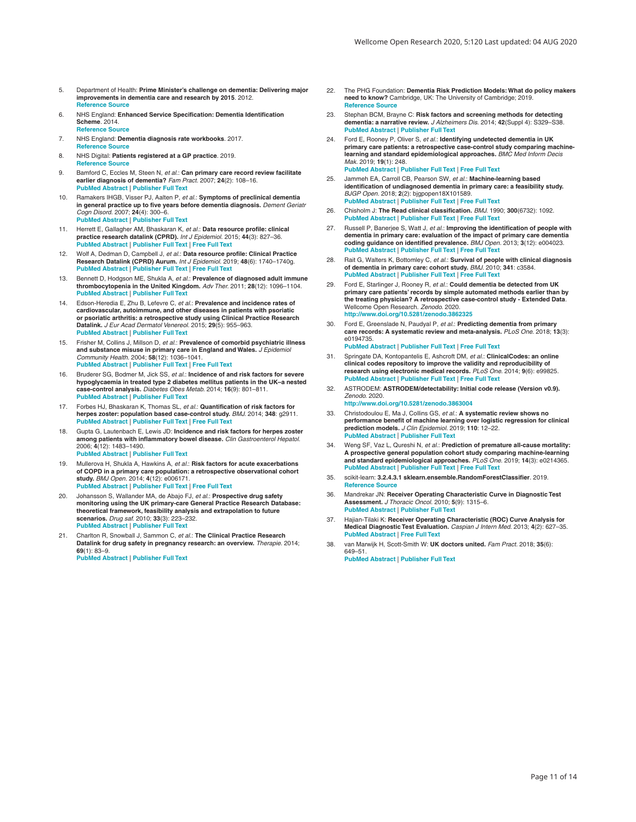- <span id="page-11-0"></span>5. Department of Health: **Prime Minister's challenge on dementia: Delivering major improvements in dementia care and research by 2015**. 2012. **[Reference Source](https://www.gov.uk/government/uploads/system/uploads/attachment_data/file/215101/dh_133176.pdf)**
- 6. NHS England: **Enhanced Service Specification: Dementia Identification Scheme**. 2014. **[Reference Source](http://www.england.nhs.uk/wp-content/uploads/2014/10/dementia-ident-schm-fin.pdf)**
- 7. NHS England: **Dementia diagnosis rate workbooks**. 2017. **[Reference Source](https://www.england.nhs.uk/publication/dementia-diagnosis-rate-workbook/)**
- 8. NHS Digital: **Patients registered at a GP practice**. 2019. **[Reference Source](https://digital.nhs.uk/data-and-information/data-tools-and-services/data-services/general-practice-data-hub/patients-registered-at-a-gp-practice)**
- 9. Bamford C, Eccles M, Steen N, *et al.*: **Can primary care record review facilitate earlier diagnosis of dementia?** *Fam Pract.* 2007; **24**(2): 108–16. **[PubMed Abstract](http://www.ncbi.nlm.nih.gov/pubmed/17237496)** | **[Publisher Full Text](http://dx.doi.org/10.1093/fampra/cml068)**
- 10. Ramakers IHGB, Visser PJ, Aalten P, *et al.*: **Symptoms of preclinical dementia in general practice up to five years before dementia diagnosis.** *Dement Geriatr Cogn Disord.* 2007; **24**(4): 300–6. **[PubMed Abstract](http://www.ncbi.nlm.nih.gov/pubmed/17717417)** | **[Publisher Full Text](http://dx.doi.org/10.1159/000107594)**
- 11. Herrett E, Gallagher AM, Bhaskaran K, *et al.*: **Data resource profile: clinical practice research datalink (CPRD).** *Int J Epidemiol.* 2015; **44**(3): 827–36. **[PubMed Abstract](http://www.ncbi.nlm.nih.gov/pubmed/26050254)** | **[Publisher Full Text](http://dx.doi.org/10.1093/ije/dyv098)** | **[Free Full Text](http://www.ncbi.nlm.nih.gov/pmc/articles/4521131)**
- 12. Wolf A, Dedman D, Campbell J, *et al.*: **Data resource profile: Clinical Practice Research Datalink (CPRD) Aurum.** *Int J Epidemiol.* 2019; **48**(6): 1740–1740g. **[PubMed Abstract](http://www.ncbi.nlm.nih.gov/pubmed/30859197)** | **[Publisher Full Text](http://dx.doi.org/10.1093/ije/dyz034)** | **[Free Full Text](http://www.ncbi.nlm.nih.gov/pmc/articles/6929522)**
- 13. Bennett D, Hodgson ME, Shukla A, *et al.*: **Prevalence of diagnosed adult immune thrombocytopenia in the United Kingdom.** *Adv Ther.* 2011; **28**(12): 1096–1104. **[PubMed Abstract](http://www.ncbi.nlm.nih.gov/pubmed/22139790)** | **[Publisher Full Text](http://dx.doi.org/10.1007/s12325-011-0084-3)**
- 14. Edson-Heredia E, Zhu B, Lefevre C, *et al.*: **Prevalence and incidence rates of cardiovascular, autoimmune, and other diseases in patients with psoriatic or psoriatic arthritis: a retrospective study using Clinical Practice Research Datalink.** *J Eur Acad Dermatol Venereol.* 2015; **29**(5): 955–963. **[PubMed Abstract](http://www.ncbi.nlm.nih.gov/pubmed/25352213)** | **[Publisher Full Text](http://dx.doi.org/10.1111/jdv.12742)**
- 15. Frisher M, Collins J, Millson D, *et al.*: **Prevalence of comorbid psychiatric illness and substance misuse in primary care in England and Wales.** *J Epidemiol Community Health.* 2004; **58**(12): 1036–1041. **[PubMed Abstract](http://www.ncbi.nlm.nih.gov/pubmed/15547069)** | **[Publisher Full Text](http://dx.doi.org/10.1136/jech.2003.017384)** | **[Free Full Text](http://www.ncbi.nlm.nih.gov/pmc/articles/1732645)**
- 16. Bruderer SG, Bodmer M, Jick SS, *et al.*: **Incidence of and risk factors for severe hypoglycaemia in treated type 2 diabetes mellitus patients in the UK–a nested case-control analysis.** *Diabetes Obes Metab.* 2014; **16**(9): 801–811. **[PubMed Abstract](http://www.ncbi.nlm.nih.gov/pubmed/24612200)** | **[Publisher Full Text](http://dx.doi.org/10.1111/dom.12282)**
- 17. Forbes HJ, Bhaskaran K, Thomas SL, *et al.*: **Quantification of risk factors for herpes zoster: population based case-control study.** *BMJ.* 2014; **348**: g2911. **[PubMed Abstract](http://www.ncbi.nlm.nih.gov/pubmed/25134101)** | **[Publisher Full Text](http://dx.doi.org/10.1136/bmj.g2911)** | **[Free Full Text](http://www.ncbi.nlm.nih.gov/pmc/articles/4019782)**
- 18. Gupta G, Lautenbach E, Lewis JD: **Incidence and risk factors for herpes zoster among patients with inflammatory bowel disease.** *Clin Gastroenterol Hepatol.* 2006; **4**(12): 1483–1490. **[PubMed Abstract](http://www.ncbi.nlm.nih.gov/pubmed/17162240)** | **[Publisher Full Text](http://dx.doi.org/10.1016/j.cgh.2006.09.019)**
- 19. Mullerova H, Shukla A, Hawkins A, *et al.*: **Risk factors for acute exacerbations of COPD in a primary care population: a retrospective observational cohort study.** *BMJ Open.* 2014; **4**(12): e006171. **[PubMed Abstract](http://www.ncbi.nlm.nih.gov/pubmed/25524545)** | **[Publisher Full Text](http://dx.doi.org/10.1136/bmjopen-2014-006171)** | **[Free Full Text](http://www.ncbi.nlm.nih.gov/pmc/articles/4275672)**
- 20. Johansson S, Wallander MA, de Abajo FJ, *et al.*: **Prospective drug safety monitoring using the UK primary-care General Practice Research Database: theoretical framework, feasibility analysis and extrapolation to future scenarios.** *Drug saf.* 2010; **33**(3): 223–232. **[PubMed Abstract](http://www.ncbi.nlm.nih.gov/pubmed/20158286)** | **[Publisher Full Text](http://dx.doi.org/10.2165/11319010-000000000-00000)**
- 21. Charlton R, Snowball J, Sammon C, *et al.*: **The Clinical Practice Research Datalink for drug safety in pregnancy research: an overview.** *Therapie.* 2014; **69**(1): 83–9.

**[PubMed Abstract](http://www.ncbi.nlm.nih.gov/pubmed/24698192)** | **[Publisher Full Text](http://dx.doi.org/10.2515/therapie/2014007)**

- 22. The PHG Foundation: **Dementia Risk Prediction Models: What do policy makers need to know?** Cambridge, UK: The University of Cambridge; 2019. **[Reference Source](https://www.phgfoundation.org/documents/dementia-risk-prediction-models.pdf)**
- 23. Stephan BCM, Brayne C: **Risk factors and screening methods for detecting dementia: a narrative review.** *J Alzheimers Dis.* 2014; **42**(Suppl 4): S329–S38. **[PubMed Abstract](http://www.ncbi.nlm.nih.gov/pubmed/25261451)** | **[Publisher Full Text](http://dx.doi.org/10.3233/JAD-141413)**
- 24. Ford E, Rooney P, Oliver S, *et al.*: **Identifying undetected dementia in UK primary care patients: a retrospective case-control study comparing machine-learning and standard epidemiological approaches.** *BMC Med Inform Decis Mak.* 2019; **19**(1): 248. **[PubMed Abstract](http://www.ncbi.nlm.nih.gov/pubmed/31791325)** | **[Publisher Full Text](http://dx.doi.org/10.1186/s12911-019-0991-9)** | **[Free Full Text](http://www.ncbi.nlm.nih.gov/pmc/articles/6889642)**
- 25. Jammeh EA, Carroll CB, Pearson SW, *et al.*: **Machine-learning based identification of undiagnosed dementia in primary care: a feasibility study.** *BJGP Open.* 2018; **2**(2): bjgpopen18X101589. **[PubMed Abstract](http://www.ncbi.nlm.nih.gov/pubmed/30564722)** | **[Publisher Full Text](http://dx.doi.org/10.3399/bjgpopen18X101589)** | **[Free Full Text](http://www.ncbi.nlm.nih.gov/pmc/articles/6184101)**
- 26. Chisholm J: **The Read clinical classification.** *BMJ.* 1990; **300**(6732): 1092. **[PubMed Abstract](http://www.ncbi.nlm.nih.gov/pubmed/2344534)** | **[Publisher Full Text](http://dx.doi.org/10.1136/bmj.300.6732.1092)** | **[Free Full Text](http://www.ncbi.nlm.nih.gov/pmc/articles/1662793)**
- 27. Russell P, Banerjee S, Watt J, *et al.*: **Improving the identification of people with dementia in primary care: evaluation of the impact of primary care dementia coding guidance on identified prevalence.** *BMJ Open.* 2013; **3**(12): e004023. **[PubMed Abstract](http://www.ncbi.nlm.nih.gov/pubmed/24366579)** | **[Publisher Full Text](http://dx.doi.org/10.1136/bmjopen-2013-004023)** | **[Free Full Text](http://www.ncbi.nlm.nih.gov/pmc/articles/3884610)**
- Rait G, Walters K, Bottomley C, et al.: Survival of people with clinical diagnosis **of dementia in primary care: cohort study.** *BMJ.* 2010; **341**: c3584. **[PubMed Abstract](http://www.ncbi.nlm.nih.gov/pubmed/20688840)** | **[Publisher Full Text](http://dx.doi.org/10.1136/bmj.c3584)** | **[Free Full Text](http://www.ncbi.nlm.nih.gov/pmc/articles/2917003)**
- 29. Ford E, Starlinger J, Rooney R, *et al.*: **Could dementia be detected from UK primary care patients' records by simple automated methods earlier than by the treating physician? A retrospective case-control study - Extended Data**. Wellcome Open Research. *Zenodo.* 2020. **<http://www.doi.org/10.5281/zenodo.3862325>**
- 30. Ford E, Greenslade N, Paudyal P, *et al.*: **Predicting dementia from primary care records: A systematic review and meta-analysis.** *PLoS One.* 2018; **13**(3): e0194735.
	- **[PubMed Abstract](http://www.ncbi.nlm.nih.gov/pubmed/29596471)** | **[Publisher Full Text](http://dx.doi.org/10.1371/journal.pone.0194735)** | **[Free Full Text](http://www.ncbi.nlm.nih.gov/pmc/articles/5875793)**
- 31. Springate DA, Kontopantelis E, Ashcroft DM, *et al.*: **ClinicalCodes: an online clinical codes repository to improve the validity and reproducibility of research using electronic medical records.** *PLoS One.* 2014; **9**(6): e99825. **[PubMed Abstract](http://www.ncbi.nlm.nih.gov/pubmed/24941260)** | **[Publisher Full Text](http://dx.doi.org/10.1371/journal.pone.0099825)** | **[Free Full Text](http://www.ncbi.nlm.nih.gov/pmc/articles/4062485)**
- 32. ASTRODEM: **ASTRODEM/detectability: Initial code release (Version v0.9).** *Zenodo.* 2020. **<http://www.doi.org/10.5281/zenodo.3863004>**
- 33. Christodoulou E, Ma J, Collins GS, *et al.*: **A systematic review shows no performance benefit of machine learning over logistic regression for clinical prediction models.** *J Clin Epidemiol.* 2019; **110**: 12–22. **[PubMed Abstract](http://www.ncbi.nlm.nih.gov/pubmed/30763612)** | **[Publisher Full Text](http://dx.doi.org/10.1016/j.jclinepi.2019.02.004)**
- 34. Weng SF, Vaz L, Qureshi N, *et al.*: **Prediction of premature all-cause mortality: A prospective general population cohort study comparing machine-learning and standard epidemiological approaches.** *PLoS One.* 2019; **14**(3): e0214365. **[PubMed Abstract](http://www.ncbi.nlm.nih.gov/pubmed/30917171)** | **[Publisher Full Text](http://dx.doi.org/10.1371/journal.pone.0214365)** | **[Free Full Text](http://www.ncbi.nlm.nih.gov/pmc/articles/6436798)**
- 35. scikit-learn: **3.2.4.3.1 sklearn.ensemble.RandomForestClassifier**. 2019. **[Reference Source](https://scikit-learn.org/stable/modules/generated/sklearn.ensemble.RandomForestClassifier.html)**
- 36. Mandrekar JN: **Receiver Operating Characteristic Curve in Diagnostic Test Assessment.** *J Thoracic Oncol.* 2010; **5**(9): 1315–6. **[PubMed Abstract](http://www.ncbi.nlm.nih.gov/pubmed/20736804)** | **[Publisher Full Text](http://dx.doi.org/10.1097/JTO.0b013e3181ec173d)**
- 37. Hajian-Tilaki K: **Receiver Operating Characteristic (ROC) Curve Analysis for Medical Diagnostic Test Evaluation.** *Caspian J Intern Med.* 2013; **4**(2): 627–35. **[PubMed Abstract](http://www.ncbi.nlm.nih.gov/pubmed/24009950)** | **[Free Full Text](http://www.ncbi.nlm.nih.gov/pmc/articles/3755824)**
- 38. van Marwijk H, Scott-Smith W: **UK doctors united.** *Fam Pract.* 2018; **35**(6): 649–51.
- **[PubMed Abstract](http://www.ncbi.nlm.nih.gov/pubmed/29800286)** | **[Publisher Full Text](http://dx.doi.org/10.1093/fampra/cmy041)**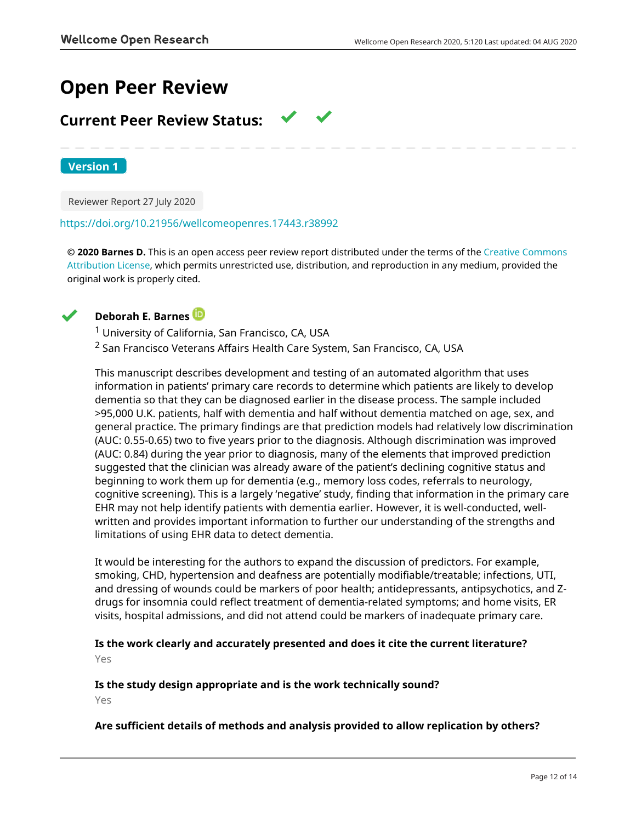## **Open Peer Review**

## **Current Peer Review Status:**

**Version 1**

Reviewer Report 27 July 2020

<https://doi.org/10.21956/wellcomeopenres.17443.r38992>

**© 2020 Barnes D.** This is an open access peer review report distributed under the terms of the [Creative Commons](https://creativecommons.org/licenses/by/4.0/) [Attribution License](https://creativecommons.org/licenses/by/4.0/), which permits unrestricted use, distribution, and reproduction in any medium, provided the original work is properly cited.



## **Deborah E. Barnes**

<sup>1</sup> University of California, San Francisco, CA, USA

<sup>2</sup> San Francisco Veterans Affairs Health Care System, San Francisco, CA, USA

This manuscript describes development and testing of an automated algorithm that uses information in patients' primary care records to determine which patients are likely to develop dementia so that they can be diagnosed earlier in the disease process. The sample included >95,000 U.K. patients, half with dementia and half without dementia matched on age, sex, and general practice. The primary findings are that prediction models had relatively low discrimination (AUC: 0.55-0.65) two to five years prior to the diagnosis. Although discrimination was improved (AUC: 0.84) during the year prior to diagnosis, many of the elements that improved prediction suggested that the clinician was already aware of the patient's declining cognitive status and beginning to work them up for dementia (e.g., memory loss codes, referrals to neurology, cognitive screening). This is a largely 'negative' study, finding that information in the primary care EHR may not help identify patients with dementia earlier. However, it is well-conducted, wellwritten and provides important information to further our understanding of the strengths and limitations of using EHR data to detect dementia.

It would be interesting for the authors to expand the discussion of predictors. For example, smoking, CHD, hypertension and deafness are potentially modifiable/treatable; infections, UTI, and dressing of wounds could be markers of poor health; antidepressants, antipsychotics, and Zdrugs for insomnia could reflect treatment of dementia-related symptoms; and home visits, ER visits, hospital admissions, and did not attend could be markers of inadequate primary care.

**Is the work clearly and accurately presented and does it cite the current literature?** Yes

**Is the study design appropriate and is the work technically sound?**

Yes

## **Are sufficient details of methods and analysis provided to allow replication by others?**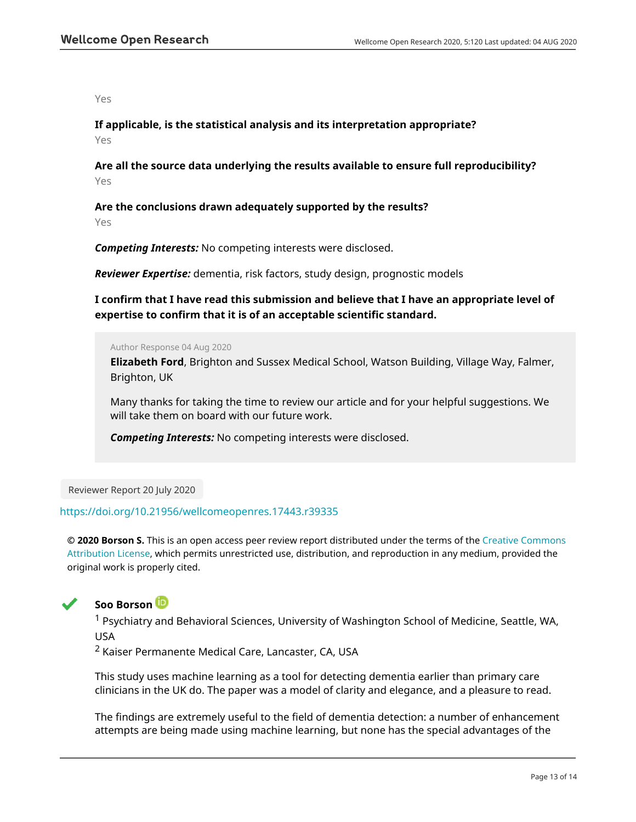Yes

**If applicable, is the statistical analysis and its interpretation appropriate?**

Yes

**Are all the source data underlying the results available to ensure full reproducibility?** Yes

**Are the conclusions drawn adequately supported by the results?** Yes

*Competing Interests:* No competing interests were disclosed.

*Reviewer Expertise:* dementia, risk factors, study design, prognostic models

**I confirm that I have read this submission and believe that I have an appropriate level of expertise to confirm that it is of an acceptable scientific standard.**

Author Response 04 Aug 2020

**Elizabeth Ford**, Brighton and Sussex Medical School, Watson Building, Village Way, Falmer, Brighton, UK

Many thanks for taking the time to review our article and for your helpful suggestions. We will take them on board with our future work.

*Competing Interests:* No competing interests were disclosed.

Reviewer Report 20 July 2020

## <https://doi.org/10.21956/wellcomeopenres.17443.r39335>

**© 2020 Borson S.** This is an open access peer review report distributed under the terms of the [Creative Commons](https://creativecommons.org/licenses/by/4.0/) [Attribution License](https://creativecommons.org/licenses/by/4.0/), which permits unrestricted use, distribution, and reproduction in any medium, provided the original work is properly cited.



## **Soo Borson**

<sup>1</sup> Psychiatry and Behavioral Sciences, University of Washington School of Medicine, Seattle, WA, USA

<sup>2</sup> Kaiser Permanente Medical Care, Lancaster, CA, USA

This study uses machine learning as a tool for detecting dementia earlier than primary care clinicians in the UK do. The paper was a model of clarity and elegance, and a pleasure to read.

The findings are extremely useful to the field of dementia detection: a number of enhancement attempts are being made using machine learning, but none has the special advantages of the